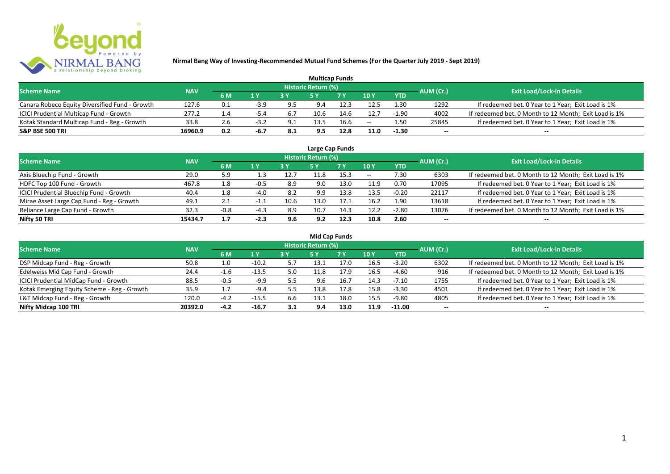

| <b>Multicap Funds</b>                          |            |     |        |      |                     |           |       |            |           |                                                       |  |  |  |
|------------------------------------------------|------------|-----|--------|------|---------------------|-----------|-------|------------|-----------|-------------------------------------------------------|--|--|--|
| <b>Scheme Name</b>                             | <b>NAV</b> |     |        |      | Historic Return (%) |           |       |            | AUM (Cr.) | <b>Exit Load/Lock-in Details</b>                      |  |  |  |
|                                                |            | 6 M | 1 Y    |      |                     | <b>7Y</b> | 10 Y  | <b>YTD</b> |           |                                                       |  |  |  |
| Canara Robeco Equity Diversified Fund - Growth | 127.6      | 0.1 | $-3.9$ | 9.5  | 9.4                 | 12.3      | 12.5  | 1.30       | 1292      | If redeemed bet. 0 Year to 1 Year; Exit Load is 1%    |  |  |  |
| ICICI Prudential Multicap Fund - Growth        | 277.2      |     | -5.4   | 6.7  | 10.6                | 14.6      | 12.7  | $-1.90$    | 4002      | If redeemed bet. 0 Month to 12 Month; Exit Load is 1% |  |  |  |
| Kotak Standard Multicap Fund - Reg - Growth    | 33.8       | 2.6 | -3.z   | 9.1  | 13.5                | 16.6      | $- -$ | 1.50       | 25845     | If redeemed bet. 0 Year to 1 Year; Exit Load is 1%    |  |  |  |
| <b>S&amp;P BSE 500 TRI</b>                     | 16960.9    | 0.2 | -6.7   | -8.1 | 9.5                 | 12.8      | 11.0  | $-1.30$    | $-$       | $- -$                                                 |  |  |  |

|                                           |            |        |                |      |                            | Large Cap Funds |       |            |           |                                                       |
|-------------------------------------------|------------|--------|----------------|------|----------------------------|-----------------|-------|------------|-----------|-------------------------------------------------------|
| <b>Scheme Name</b>                        | <b>NAV</b> |        |                |      | <b>Historic Return (%)</b> |                 |       |            | AUM (Cr.) | <b>Exit Load/Lock-in Details</b>                      |
|                                           |            | 6 M    | 1 <sup>Y</sup> | 3 Y  | <b>5 Y</b>                 | 7Y              | 10Y   | <b>YTD</b> |           |                                                       |
| Axis Bluechip Fund - Growth               | 29.0       | 5.9    | 1.3            | 12.7 | 11.8                       | 15.3            | $- -$ | 7.30       | 6303      | If redeemed bet. 0 Month to 12 Month; Exit Load is 1% |
| HDFC Top 100 Fund - Growth                | 467.8      | 1.8    | -0.5           | 8.9  | 9.0                        | 13.0            | 11.9  | 0.70       | 17095     | If redeemed bet. 0 Year to 1 Year; Exit Load is 1%    |
| ICICI Prudential Bluechip Fund - Growth   | 40.4       | 1.8    | -4.0           | 8.2  | 9.9                        | 13.8            | 13.5  | $-0.20$    | 22117     | If redeemed bet. 0 Year to 1 Year; Exit Load is 1%    |
| Mirae Asset Large Cap Fund - Reg - Growth | 49.1       | $\sim$ | $-1.1$         | 10.6 | 13.0                       | 17.1            | 16.2  | 1.90       | 13618     | If redeemed bet. 0 Year to 1 Year; Exit Load is 1%    |
| Reliance Large Cap Fund - Growth          | 32.3       | $-0.8$ | $-4.3$         | 8.9  | 10.7                       | 14.3            | 12.2  | $-2.80$    | 13076     | If redeemed bet. 0 Month to 12 Month; Exit Load is 1% |
| Nifty 50 TRI                              | 15434.7    | 1.7    | $-2.3$         | 9.6  | 9.2                        | 12.3            | 10.8  | 2.60       |           | $- -$                                                 |

| <b>Mid Cap Funds</b>                        |            |              |         |     |                     |           |      |            |                          |                                                       |  |  |  |  |
|---------------------------------------------|------------|--------------|---------|-----|---------------------|-----------|------|------------|--------------------------|-------------------------------------------------------|--|--|--|--|
| <b>Scheme Name</b>                          | <b>NAV</b> |              |         |     | Historic Return (%) |           |      |            | AUM (Cr.)                | <b>Exit Load/Lock-in Details</b>                      |  |  |  |  |
|                                             |            | 6 M          | 1 Y     |     | 5 Y                 | <b>7Y</b> | 10Y  | <b>YTD</b> |                          |                                                       |  |  |  |  |
| DSP Midcap Fund - Reg - Growth              | 50.8       | 1.0          | $-10.2$ | 5.7 | 13.1                | 17.0      | 16.5 | $-3.20$    | 6302                     | If redeemed bet. 0 Month to 12 Month; Exit Load is 1% |  |  |  |  |
| Edelweiss Mid Cap Fund - Growth             | 24.4       | $-1$<br>-1.6 | $-13.5$ | 5.0 | 11.8                | 17.9      | 16.5 | -4.60      | 916                      | If redeemed bet. 0 Month to 12 Month; Exit Load is 1% |  |  |  |  |
| ICICI Prudential MidCap Fund - Growth       | 88.5       | $-0.5$       | $-9.9$  | 5.5 | 9.6                 | 16.7      | 14.3 | $-7.10$    | 1755                     | If redeemed bet. 0 Year to 1 Year; Exit Load is 1%    |  |  |  |  |
| Kotak Emerging Equity Scheme - Reg - Growth | 35.9       | 1.7          | $-9.4$  | 5.5 | 13.8                | 17.8      | 15.8 | $-3.30$    | 4501                     | If redeemed bet. 0 Year to 1 Year; Exit Load is 1%    |  |  |  |  |
| L&T Midcap Fund - Reg - Growth              | 120.0      | $-4.2$       | $-15.5$ | 6.6 | 13.1                | 18.0      | 15.5 | -9.80      | 4805                     | If redeemed bet. 0 Year to 1 Year; Exit Load is 1%    |  |  |  |  |
| Nifty Midcap 100 TRI                        | 20392.0    | $-4.2$       | $-16.7$ | 3.1 | 9.4                 | 13.0      | 11.9 | $-11.00$   | $\overline{\phantom{a}}$ | $- -$                                                 |  |  |  |  |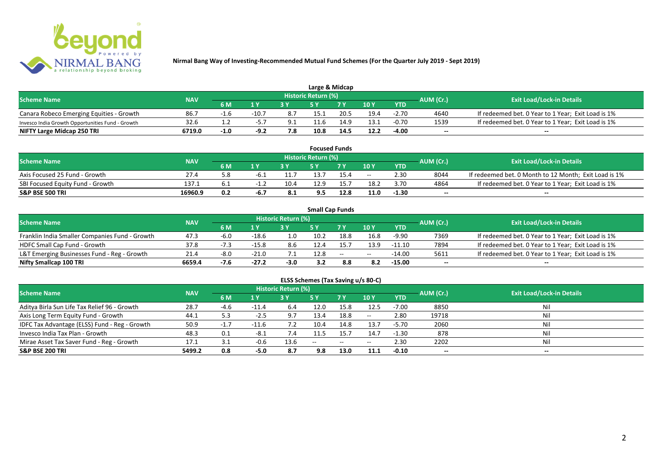

| Large & Midcap                                   |            |        |                         |     |                            |      |      |            |           |                                                    |  |  |  |
|--------------------------------------------------|------------|--------|-------------------------|-----|----------------------------|------|------|------------|-----------|----------------------------------------------------|--|--|--|
| <b>Scheme Name</b>                               | <b>NAV</b> |        |                         |     | <b>Historic Return (%)</b> |      |      |            | AUM (Cr.) | <b>Exit Load/Lock-in Details</b>                   |  |  |  |
|                                                  |            | 6 M    | $\mathbf{A} \mathbf{V}$ |     |                            | 7 V  | 10Y  | <b>YTD</b> |           |                                                    |  |  |  |
| Canara Robeco Emerging Equities - Growth         | 86.7       | -1.0   | $-10.7$                 | 8.7 | 15.1                       | 20.5 | 19.4 | $-2.70$    | 4640      | If redeemed bet. 0 Year to 1 Year; Exit Load is 1% |  |  |  |
| Invesco India Growth Opportunities Fund - Growth | 32.6       |        |                         | 9.1 | 11.6                       | 14.9 | 13.1 | $-0.70$    | 1539      | If redeemed bet. 0 Year to 1 Year; Exit Load is 1% |  |  |  |
| NIFTY Large Midcap 250 TRI                       | 6719.0     | $-1.0$ | $-9.2$                  | 7.8 | 10.8                       | 14.5 | 12.2 | $-4.00$    | $- -$     | $- -$                                              |  |  |  |

|                                  |            |     |      |      |                     | <b>Focused Funds</b> |       |            |           |                                                       |
|----------------------------------|------------|-----|------|------|---------------------|----------------------|-------|------------|-----------|-------------------------------------------------------|
| <b>Scheme Name</b>               | <b>NAV</b> |     |      |      | Historic Return (%) |                      |       |            | AUM (Cr.) | <b>Exit Load/Lock-in Details</b>                      |
|                                  |            | 6 M | 1 V  |      | c v                 | 7 V                  | 10 Y  | <b>YTD</b> |           |                                                       |
| Axis Focused 25 Fund - Growth    | 27.4       | o.c | -6.⊥ |      | 13.7                | 15.4                 | $- -$ | 2.30       | 8044      | If redeemed bet. 0 Month to 12 Month; Exit Load is 1% |
| SBI Focused Equity Fund - Growth | 137.1      |     |      | 10.4 | 12.9                |                      | 18.2  | 3.70       | 4864      | If redeemed bet. 0 Year to 1 Year; Exit Load is 1%    |
| <b>S&amp;P BSE 500 TRI</b>       | 16960.9    | 0.2 | -6.7 | 0. L | 9.5                 | 12.8                 | 11.0  | $-1.30$    | $- -$     | $- -$                                                 |

|                                                |            |        |         |                     |      | <b>Small Cap Funds</b>                         |       |            |           |                                                    |
|------------------------------------------------|------------|--------|---------|---------------------|------|------------------------------------------------|-------|------------|-----------|----------------------------------------------------|
| <b>Scheme Name</b>                             | <b>NAV</b> |        |         | Historic Return (%) |      |                                                |       |            | AUM (Cr.) | <b>Exit Load/Lock-in Details</b>                   |
|                                                |            | 6 M    | 1 Y     |                     |      | 7 Y                                            | 10Y   | <b>YTD</b> |           |                                                    |
| Franklin India Smaller Companies Fund - Growth | 47.3       | $-6.0$ | $-18.6$ |                     | 10.2 | 18.8                                           | 16.8  | $-9.90$    | 7369      | If redeemed bet. 0 Year to 1 Year; Exit Load is 1% |
| HDFC Small Cap Fund - Growth                   | 37.8       |        | $-15.8$ | 8.6                 | 12.4 | 15.7                                           | 13.9  | $-11.10$   | 7894      | If redeemed bet. 0 Year to 1 Year; Exit Load is 1% |
| L&T Emerging Businesses Fund - Reg - Growth    | 21.4       | -8.0   | $-21.0$ |                     | 12.8 | $\hspace{0.1mm}-\hspace{0.1mm}-\hspace{0.1mm}$ | $- -$ | $-14.00$   | 5611      | If redeemed bet. 0 Year to 1 Year; Exit Load is 1% |
| Nifty Smallcap 100 TRI                         | 6659.4     | $-7.6$ | $-27.2$ | $-3.0$              | 3.2  | 8.8                                            | -8.2  | $-15.00$   | $- -$     | $\overline{\phantom{a}}$                           |

# **ELSS Schemes (Tax Saving u/s 80-C)**

| <b>Scheme Name</b>                            | <b>NAV</b> |        |                | <b>Historic Return (%)</b> |       |      |         |            | AUM (Cr.)                | <b>Exit Load/Lock-in Details</b> |
|-----------------------------------------------|------------|--------|----------------|----------------------------|-------|------|---------|------------|--------------------------|----------------------------------|
|                                               |            | 6 M    | 1 <sub>Y</sub> |                            | 5 Y   | 7Y   | 10Y     | <b>YTD</b> |                          |                                  |
| Aditya Birla Sun Life Tax Relief 96 - Growth  | 28.7       | -4.6   | $-11.4$        | 6.4                        | 12.0  | 15.8 | 12.5    | $-7.00$    | 8850                     | Nil                              |
| Axis Long Term Equity Fund - Growth           | 44.1       | 5.3    | $-2.5$         | 9.7                        | 13.4  | 18.8 | $-  \,$ | 2.80       | 19718                    |                                  |
| IDFC Tax Advantage (ELSS) Fund - Reg - Growth | 50.9       | $-1.7$ | $-11.6$        | 7.2                        | 10.4  | 14.8 | 13.7    | $-5.70$    | 2060                     |                                  |
| Invesco India Tax Plan - Growth               | 48.3       | 0.1    | -8.1           | 7.4                        | 11.5  | 15.7 | 14.7    | $-1.30$    | 878                      |                                  |
| Mirae Asset Tax Saver Fund - Reg - Growth     | 17.1       | 3.1    | $-0.6$         | 13.6                       | $- -$ | $-$  | $- -$   | 2.30       | 2202                     |                                  |
| <b>S&amp;P BSE 200 TRI</b>                    | 5499.2     | 0.8    | -5.0           | 8.7                        | 9.8   | 13.0 | 11.1    | $-0.10$    | $\overline{\phantom{a}}$ | $\overline{\phantom{a}}$         |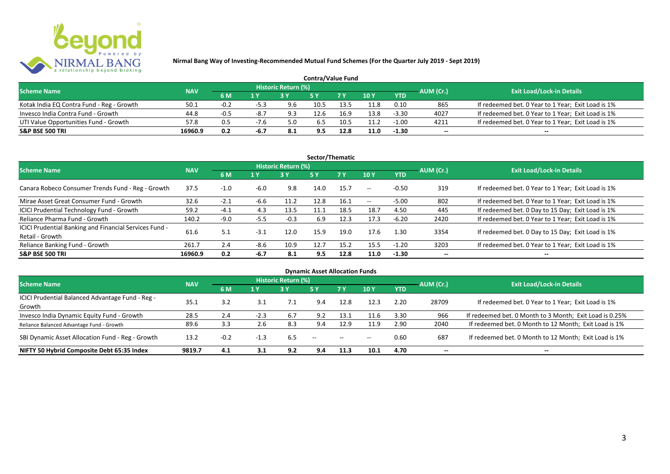

|                                           |            |        |        |                     | <b>Contra/Value Fund</b> |                |      |            |           |                                                    |
|-------------------------------------------|------------|--------|--------|---------------------|--------------------------|----------------|------|------------|-----------|----------------------------------------------------|
| <b>Scheme Name</b>                        | <b>NAV</b> |        |        | Historic Return (%) |                          |                |      |            | AUM (Cr.) | <b>Exit Load/Lock-in Details</b>                   |
|                                           |            | 6 M    |        |                     |                          | 7 <sub>Y</sub> | 10 Y | <b>YTD</b> |           |                                                    |
| Kotak India EQ Contra Fund - Reg - Growth | 50.1       | $-0.2$ | $-5.3$ | 9.6                 | 10.5                     | 13.5           | 11.8 | 0.10       | 865       | If redeemed bet. 0 Year to 1 Year; Exit Load is 1% |
| Invesco India Contra Fund - Growth        | 44.8       | $-0.5$ | -8.7   | 9.3                 | 12.6                     | 16.9           | 13.8 | $-3.30$    | 4027      | If redeemed bet. 0 Year to 1 Year; Exit Load is 1% |
| UTI Value Opportunities Fund - Growth     | 57.8       | 0.5    | -7.6   | 5.0                 | 6.5                      | 10.5           | 11.2 | $-1.00$    | 4211      | If redeemed bet. 0 Year to 1 Year; Exit Load is 1% |
| <b>S&amp;P BSE 500 TRI</b>                | 16960.9    | 0.2    | -6.7   | -8.1                | 9.5                      | 12.8           | 11.0 | $-1.30$    | $-$       | $- -$                                              |

| Sector/Thematic                                                           |            |        |        |                            |           |           |       |            |           |                                                    |  |  |  |
|---------------------------------------------------------------------------|------------|--------|--------|----------------------------|-----------|-----------|-------|------------|-----------|----------------------------------------------------|--|--|--|
| <b>Scheme Name</b>                                                        | <b>NAV</b> |        |        | <b>Historic Return (%)</b> |           |           |       |            | AUM (Cr.) | <b>Exit Load/Lock-in Details</b>                   |  |  |  |
|                                                                           |            | 6 M    | 1 Y    | 3Y                         | <b>5Y</b> | <b>7Y</b> | 10Y   | <b>YTD</b> |           |                                                    |  |  |  |
| Canara Robeco Consumer Trends Fund - Reg - Growth                         | 37.5       | $-1.0$ | $-6.0$ | 9.8                        | 14.0      | 15.7      | $- -$ | $-0.50$    | 319       | If redeemed bet. 0 Year to 1 Year; Exit Load is 1% |  |  |  |
| Mirae Asset Great Consumer Fund - Growth                                  | 32.6       | $-2.1$ | -6.6   | 11.2                       | 12.8      | 16.1      | $- -$ | $-5.00$    | 802       | If redeemed bet. 0 Year to 1 Year; Exit Load is 1% |  |  |  |
| <b>ICICI Prudential Technology Fund - Growth</b>                          | 59.2       | $-4.1$ | 4.3    | 13.5                       | 11.1      | 18.5      | 18.7  | 4.50       | 445       | If redeemed bet. 0 Day to 15 Day; Exit Load is 1%  |  |  |  |
| Reliance Pharma Fund - Growth                                             | 140.2      | $-9.0$ | $-5.5$ | $-0.3$                     | 6.9       | 12.3      | 17.3  | $-6.20$    | 2420      | If redeemed bet. 0 Year to 1 Year; Exit Load is 1% |  |  |  |
| ICICI Prudential Banking and Financial Services Fund -<br>Retail - Growth | 61.6       | 5.1    | $-3.1$ | 12.0                       | 15.9      | 19.0      | 17.6  | 1.30       | 3354      | If redeemed bet. 0 Day to 15 Day; Exit Load is 1%  |  |  |  |
| Reliance Banking Fund - Growth                                            | 261.7      | 2.4    | $-8.6$ | 10.9                       | 12.7      | 15.2      | 15.5  | $-1.20$    | 3203      | If redeemed bet. 0 Year to 1 Year; Exit Load is 1% |  |  |  |
| <b>S&amp;P BSE 500 TRI</b>                                                | 16960.9    | 0.2    | -6.7   | 8.1                        | 9.5       | 12.8      | 11.0  | $-1.30$    |           | --                                                 |  |  |  |

| <b>Dynamic Asset Allocation Funds</b>            |            |        |        |                            |                          |               |       |            |                          |                                                         |  |  |  |
|--------------------------------------------------|------------|--------|--------|----------------------------|--------------------------|---------------|-------|------------|--------------------------|---------------------------------------------------------|--|--|--|
| <b>Scheme Name</b>                               | <b>NAV</b> |        |        | <b>Historic Return (%)</b> |                          |               |       |            | AUM (Cr.)                | <b>Exit Load/Lock-in Details</b>                        |  |  |  |
|                                                  |            | 6 M    | 1 Y    | 3 Y                        | 5 Y                      | <b>7Y</b>     | 10Y   | <b>YTD</b> |                          |                                                         |  |  |  |
| ICICI Prudential Balanced Advantage Fund - Reg - | 35.1       | 3.2    | 3.1    |                            | 9.4                      | 12.8          | 12.3  | 2.20       | 28709                    | If redeemed bet. 0 Year to 1 Year; Exit Load is 1%      |  |  |  |
| Growth                                           |            |        |        |                            |                          |               |       |            |                          |                                                         |  |  |  |
| Invesco India Dynamic Equity Fund - Growth       | 28.5       | 2.4    | $-2.3$ | 6.7                        | 9.2                      | 13.1          | 11.6  | 3.30       | 966                      | If redeemed bet. 0 Month to 3 Month; Exit Load is 0.25% |  |  |  |
| Reliance Balanced Advantage Fund - Growth        | 89.6       | 3.3    | 2.6    | 8.3                        | 9.4                      | 12.9          | 11.9  | 2.90       | 2040                     | If redeemed bet. 0 Month to 12 Month; Exit Load is 1%   |  |  |  |
| SBI Dynamic Asset Allocation Fund - Reg - Growth | 13.2       | $-0.2$ | $-1.3$ | 6.5                        | $\overline{\phantom{a}}$ | $\sim$ $\sim$ | $- -$ | 0.60       | 687                      | If redeemed bet. 0 Month to 12 Month; Exit Load is 1%   |  |  |  |
| NIFTY 50 Hybrid Composite Debt 65:35 Index       | 9819.7     | 4.1    | 3.1    | 9.2                        | 9.4                      | 11.3          | 10.1  | 4.70       | $\overline{\phantom{a}}$ | $- -$                                                   |  |  |  |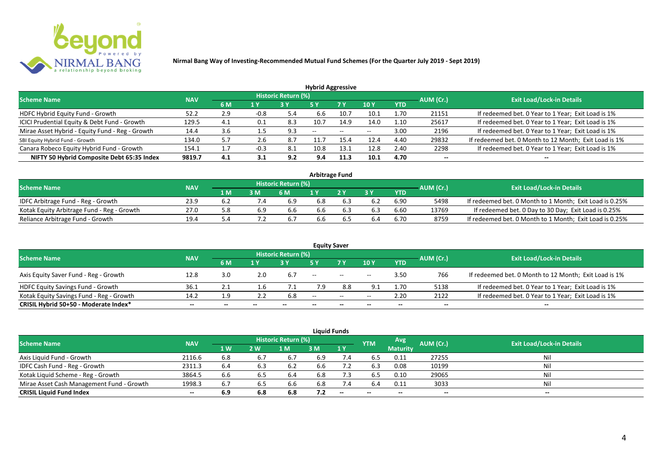

| <b>Hybrid Aggressive</b>                        |            |     |                         |                            |               |               |       |            |           |                                                       |  |  |  |
|-------------------------------------------------|------------|-----|-------------------------|----------------------------|---------------|---------------|-------|------------|-----------|-------------------------------------------------------|--|--|--|
| <b>Scheme Name</b>                              | <b>NAV</b> |     |                         | <b>Historic Return (%)</b> |               |               |       |            | AUM (Cr.) | <b>Exit Load/Lock-in Details</b>                      |  |  |  |
|                                                 |            | 6 M | $\mathbf{1} \mathbf{Y}$ |                            | 5 Y           | 7 Y           | 10Y   | <b>YTD</b> |           |                                                       |  |  |  |
| HDFC Hybrid Equity Fund - Growth                | 52.2       | 2.9 | $-0.8$                  | 5.4                        | 6.6           | 10.7          | 10.1  | 1.70       | 21151     | If redeemed bet. 0 Year to 1 Year; Exit Load is 1%    |  |  |  |
| ICICI Prudential Equity & Debt Fund - Growth    | 129.5      | 4.1 | 0.1                     | 8.3                        | 10.7          | 14.9          | 14.0  | 1.10       | 25617     | If redeemed bet. 0 Year to 1 Year; Exit Load is 1%    |  |  |  |
| Mirae Asset Hybrid - Equity Fund - Reg - Growth | 14.4       | 3.6 | 1.5                     | 9.3                        | $\sim$ $\sim$ | $\sim$ $\sim$ | $- -$ | 3.00       | 2196      | If redeemed bet. 0 Year to 1 Year; Exit Load is 1%    |  |  |  |
| SBI Equity Hybrid Fund - Growth                 | 134.0      | 5.7 | 2.6                     | 8.7                        |               | 15.4          | 12.4  | 4.40       | 29832     | If redeemed bet. 0 Month to 12 Month; Exit Load is 1% |  |  |  |
| Canara Robeco Equity Hybrid Fund - Growth       | 154.1      |     | -0.3                    | -8.1                       | 10.8          | 13.1          | 12.8  | 2.40       | 2298      | If redeemed bet. 0 Year to 1 Year; Exit Load is 1%    |  |  |  |
| NIFTY 50 Hybrid Composite Debt 65:35 Index      | 9819.7     | 4.1 | 3.1                     | 9.2                        | 9.4           | 11.3          | 10.1  | 4.70       | $- -$     | $- -$                                                 |  |  |  |

| <b>Arbitrage Fund</b>                      |            |       |     |                            |     |  |     |      |           |                                                         |  |  |  |
|--------------------------------------------|------------|-------|-----|----------------------------|-----|--|-----|------|-----------|---------------------------------------------------------|--|--|--|
| <b>Scheme Name</b>                         | <b>NAV</b> |       |     | <b>Historic Return (%)</b> |     |  |     |      | AUM (Cr.) | <b>Exit Load/Lock-in Details</b>                        |  |  |  |
|                                            |            | 1 M   | 3 M | 6 M                        |     |  | 2 V | YTD  |           |                                                         |  |  |  |
| IDFC Arbitrage Fund - Reg - Growth         | 23.9       | . ხ.∠ |     | 6.9                        | 6.8 |  |     | 6.90 | 5498      | If redeemed bet. 0 Month to 1 Month; Exit Load is 0.25% |  |  |  |
| Kotak Equity Arbitrage Fund - Reg - Growth | 27.0       |       | 6.9 | 6.6                        | 6.6 |  |     | 6.60 | 13769     | If redeemed bet. 0 Day to 30 Day; Exit Load is 0.25%    |  |  |  |
| Reliance Arbitrage Fund - Growth           | 19.4       |       |     |                            | 6.6 |  | 6.4 | 6.70 | 8759      | If redeemed bet. 0 Month to 1 Month; Exit Load is 0.25% |  |  |  |

|                                          |            |     |     |                     | <b>Equity Saver</b> |                                                     |       |            |           |                                                       |
|------------------------------------------|------------|-----|-----|---------------------|---------------------|-----------------------------------------------------|-------|------------|-----------|-------------------------------------------------------|
| <b>Scheme Name</b>                       | <b>NAV</b> |     |     | Historic Return (%) |                     |                                                     |       |            | AUM (Cr.) | <b>Exit Load/Lock-in Details</b>                      |
|                                          |            | 6 M | 1 Y |                     |                     | 7 <sub>V</sub>                                      | 10Y   | <b>YTD</b> |           |                                                       |
| Axis Equity Saver Fund - Reg - Growth    | 12.8       | 3.0 | 2.0 | 6.7                 | $- -$               | $\hspace{0.1mm}-\hspace{0.1mm}-\hspace{0.1mm}$      | $- -$ | 3.50       | 766       | If redeemed bet. 0 Month to 12 Month; Exit Load is 1% |
| HDFC Equity Savings Fund - Growth        | 36.1       |     |     |                     | 7.9                 | 8.8                                                 |       | 1.70       | 5138      | If redeemed bet. 0 Year to 1 Year; Exit Load is 1%    |
| Kotak Equity Savings Fund - Reg - Growth | 14.2       | 1.9 |     | 6.8                 | $-$                 | $\hspace{0.05cm} -\hspace{0.05cm} -\hspace{0.05cm}$ | $- -$ | 2.20       | 2122      | If redeemed bet. 0 Year to 1 Year; Exit Load is 1%    |
| CRISIL Hybrid 50+50 - Moderate Index*    | $- -$      | --  |     | --                  | --                  | $- -$                                               |       | --         | --        | $- -$                                                 |

|                                           |            |     |     |                            |     | <b>Liquid Funds</b> |            |                 |           |                                  |
|-------------------------------------------|------------|-----|-----|----------------------------|-----|---------------------|------------|-----------------|-----------|----------------------------------|
| <b>Scheme Name</b>                        | <b>NAV</b> |     |     | <b>Historic Return (%)</b> |     |                     | <b>YTM</b> | Avg             | AUM (Cr.) | <b>Exit Load/Lock-in Details</b> |
|                                           |            | 1 W | 2 W | 1 M                        | 3 M | 1Y                  |            | <b>Maturity</b> |           |                                  |
| Axis Liquid Fund - Growth                 | 2116.6     | 6.8 | 6.7 | 6.7                        | 6.9 | 7.4                 | 6.5        | 0.11            | 27255     | Nil                              |
| IDFC Cash Fund - Reg - Growth             | 2311.3     | 6.4 | 6.3 | 6.2                        | 6.6 |                     | 6.3        | 0.08            | 10199     | Nil                              |
| Kotak Liquid Scheme - Reg - Growth        | 3864.5     | 6.6 | 6.5 | 6.4                        | 6.8 | 7.3                 | 6.5        | 0.10            | 29065     | Nil                              |
| Mirae Asset Cash Management Fund - Growth | 1998.3     | 6.7 | 6.5 | 6.6                        | 6.8 |                     | 6.4        | 0.11            | 3033      | Nil                              |
| <b>CRISIL Liquid Fund Index</b>           | $- -$      | 6.9 | 6.8 | 6.8                        | 7.2 | $- -$               | $- -$      | $- -$           | $- -$     | $- -$                            |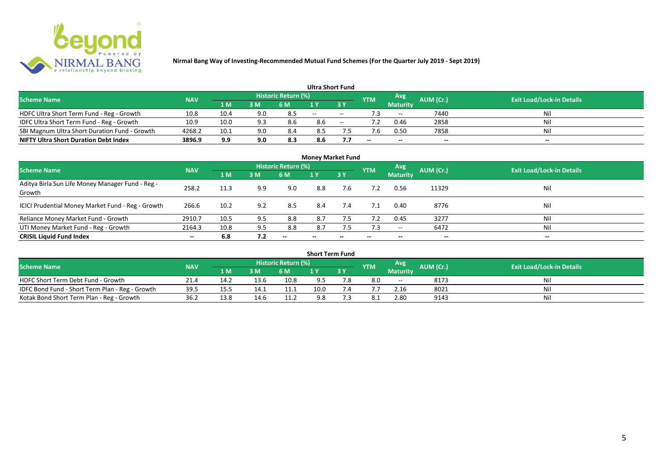

|                                               |            |       |     |                            |       | <b>Ultra Short Fund</b>       |            |                 |           |                                  |
|-----------------------------------------------|------------|-------|-----|----------------------------|-------|-------------------------------|------------|-----------------|-----------|----------------------------------|
| <b>Scheme Name</b>                            | <b>NAV</b> |       |     | <b>Historic Return (%)</b> |       |                               | <b>YTM</b> | Avg             | AUM (Cr.) | <b>Exit Load/Lock-in Details</b> |
|                                               |            | '1 M. | 3 M | 6 M                        |       | $\overline{3}$ $\overline{Y}$ |            | <b>Maturity</b> |           |                                  |
| HDFC Ultra Short Term Fund - Reg - Growth     | 10.8       | 10.4  | 9.0 | 8.5                        | $- -$ | $- -$                         |            | $- -$           | 7440      | <b>Nil</b>                       |
| IDFC Ultra Short Term Fund - Reg - Growth     | 10.9       | 10.0  | 9.3 | 8.6                        | 8.6   | $- -$                         |            | 0.46            | 2858      | Nil                              |
| SBI Magnum Ultra Short Duration Fund - Growth | 4268.2     | 10.1  | 9.0 | 8.4                        | 8.5   |                               |            | 0.50            | 7858      | Nil                              |
| <b>NIFTY Ultra Short Duration Debt Index</b>  | 3896.9     | 9.9   | 9.0 | 8.3                        | 8.6   |                               | $- -$      | $- -$           | $\sim$    | $- -$                            |

| <b>Money Market Fund</b>                                   |            |      |     |                     |                          |        |            |                 |           |                                  |  |  |  |  |
|------------------------------------------------------------|------------|------|-----|---------------------|--------------------------|--------|------------|-----------------|-----------|----------------------------------|--|--|--|--|
| <b>Scheme Name</b>                                         | <b>NAV</b> |      |     | Historic Return (%) |                          |        | <b>YTM</b> | Avg             | AUM (Cr.) | <b>Exit Load/Lock-in Details</b> |  |  |  |  |
|                                                            |            | 1 M  | 3M  | <b>6 M</b>          | 1Y                       | 7 3 Y. |            | <b>Maturity</b> |           |                                  |  |  |  |  |
| Aditya Birla Sun Life Money Manager Fund - Reg -<br>Growth | 258.2      | 11.3 | 9.9 | 9.0                 | 8.8                      | 7.6    |            | 0.56            | 11329     | Nil                              |  |  |  |  |
| ICICI Prudential Money Market Fund - Reg - Growth          | 266.6      | 10.2 | 9.2 | 8.5                 | 8.4                      | 7.4    | 7.1        | 0.40            | 8776      | Nil                              |  |  |  |  |
| Reliance Money Market Fund - Growth                        | 2910.7     | 10.5 | 9.5 | 8.8                 | 8.7                      | 7.5    | 7.2        | 0.45            | 3277      | Nil                              |  |  |  |  |
| UTI Money Market Fund - Reg - Growth                       | 2164.3     | 10.8 | 9.5 | 8.8                 | 8.7                      | 7.5    | 7.3        | $- -$           | 6472      | Nil                              |  |  |  |  |
| <b>CRISIL Liquid Fund Index</b>                            | $- -$      | 6.8  | 7.2 | $- -$               | $\overline{\phantom{a}}$ | --     | $- -$      | $- -$           | $- -$     | $\overline{\phantom{a}}$         |  |  |  |  |

| <b>Short Term Fund</b>                          |            |      |      |                            |      |     |            |                 |           |                                  |  |  |  |
|-------------------------------------------------|------------|------|------|----------------------------|------|-----|------------|-----------------|-----------|----------------------------------|--|--|--|
| <b>Scheme Name</b>                              | <b>NAV</b> |      |      | <b>Historic Return (%)</b> |      |     | <b>YTM</b> | Avg             | AUM (Cr.) | <b>Exit Load/Lock-in Details</b> |  |  |  |
|                                                 |            | 1 M  | 3 M  | 6 M                        |      | 3Y  |            | <b>Maturity</b> |           |                                  |  |  |  |
| HDFC Short Term Debt Fund - Growth              | 21.4       | 14.2 | 13.6 | 10.8                       | 9.5  | 7.8 | 8.0        | $ -$            | 8173      | Nil                              |  |  |  |
| IDFC Bond Fund - Short Term Plan - Reg - Growth | 39.5       | 15.5 | 14.1 | 11.1                       | 10.0 |     |            | 2.16            | 8021      | Nil                              |  |  |  |
| Kotak Bond Short Term Plan - Reg - Growth       | 36.2       | 13.8 | 14.6 | 11.2                       | 9.8  |     |            | 2.80            | 9143      | Nil                              |  |  |  |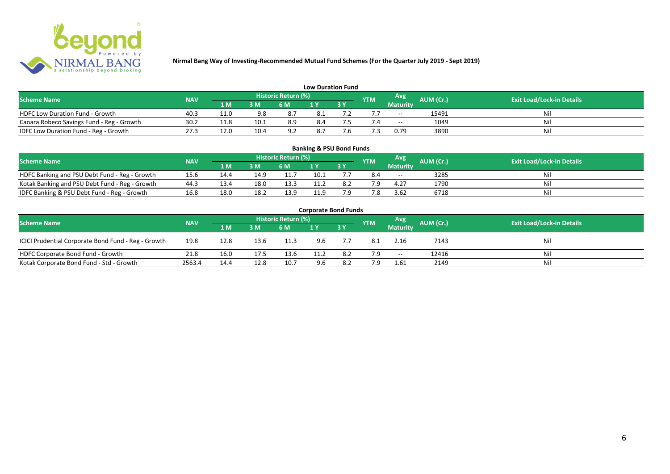

| <b>Low Duration Fund</b>                  |            |      |      |                            |     |  |            |          |           |                                  |  |  |  |  |
|-------------------------------------------|------------|------|------|----------------------------|-----|--|------------|----------|-----------|----------------------------------|--|--|--|--|
| <b>Scheme Name</b>                        | <b>NAV</b> |      |      | <b>Historic Return (%)</b> |     |  | <b>YTM</b> | Avg      | AUM (Cr.) | <b>Exit Load/Lock-in Details</b> |  |  |  |  |
|                                           |            | 1 M  | 3 M  | 6 M                        | 1 Y |  |            | Maturity |           |                                  |  |  |  |  |
| <b>HDFC Low Duration Fund - Growth</b>    | 40.3       | 11.0 | 9.8  | 8.7                        | 8.1 |  |            | $- -$    | 15491     | Nil                              |  |  |  |  |
| Canara Robeco Savings Fund - Reg - Growth | 30.2       | 11.8 | 10.1 | 8.9                        | 8.4 |  |            | $- -$    | 1049      | Nil                              |  |  |  |  |
| IDFC Low Duration Fund - Reg - Growth     | 27.3       | 12.0 | 10.4 | 9.2                        | 8.7 |  |            | 0.79     | 3890      | Nil                              |  |  |  |  |

| <b>Banking &amp; PSU Bond Funds</b>                                                                                                                |      |      |      |      |      |    |     |                 |      |    |  |  |  |  |
|----------------------------------------------------------------------------------------------------------------------------------------------------|------|------|------|------|------|----|-----|-----------------|------|----|--|--|--|--|
| <b>Historic Return (%)</b><br><b>Avg</b><br><b>AUM (Cr.)</b><br><b>Exit Load/Lock-in Details</b><br><b>NAV</b><br><b>Scheme Name</b><br><b>YTM</b> |      |      |      |      |      |    |     |                 |      |    |  |  |  |  |
|                                                                                                                                                    |      | 1 M  | 3 M  | 6 M  |      | 3Y |     | <b>Maturity</b> |      |    |  |  |  |  |
| HDFC Banking and PSU Debt Fund - Reg - Growth                                                                                                      | 15.6 |      | 14.9 | 11.7 | 10.1 |    | 8.4 | $- -$           | 3285 | Ni |  |  |  |  |
| Kotak Banking and PSU Debt Fund - Reg - Growth                                                                                                     | 44.3 | 13.4 | 18.0 | 13.3 | L1.2 |    | 7 Q | 4.27            | 1790 | Ni |  |  |  |  |
| IDFC Banking & PSU Debt Fund - Reg - Growth                                                                                                        | 16.8 | 18.0 | 18.2 | 13.9 | 11.9 |    | 7.8 | 3.62            | 6718 | Ni |  |  |  |  |

| <b>Corporate Bond Funds</b>                         |            |      |      |                     |      |           |            |                          |           |                                  |  |  |  |  |
|-----------------------------------------------------|------------|------|------|---------------------|------|-----------|------------|--------------------------|-----------|----------------------------------|--|--|--|--|
| <b>Scheme Name</b>                                  | <b>NAV</b> |      |      | Historic Return (%) |      |           | <b>YTM</b> | Avg                      | AUM (Cr.) | <b>Exit Load/Lock-in Details</b> |  |  |  |  |
|                                                     |            | 1 M  | 3 M  | 6 M                 |      | <b>3Y</b> |            | <b>Maturity</b>          |           |                                  |  |  |  |  |
| ICICI Prudential Corporate Bond Fund - Reg - Growth | 19.8       | 12.8 | 13.6 | 11.3                | 9.6  |           | 8.1        | 2.16                     | 7143      | Nil                              |  |  |  |  |
| HDFC Corporate Bond Fund - Growth                   | 21.8       | 16.0 | 17.5 | 13.6                | 11.2 | 8.2       | 7.9        | $\overline{\phantom{a}}$ | 12416     | Nil                              |  |  |  |  |
| Kotak Corporate Bond Fund - Std - Growth            | 2563.4     | 14.4 | 12.8 | 10.7                | 9.6  | 8.2       | 7.9        | 1.61                     | 2149      | Nil                              |  |  |  |  |